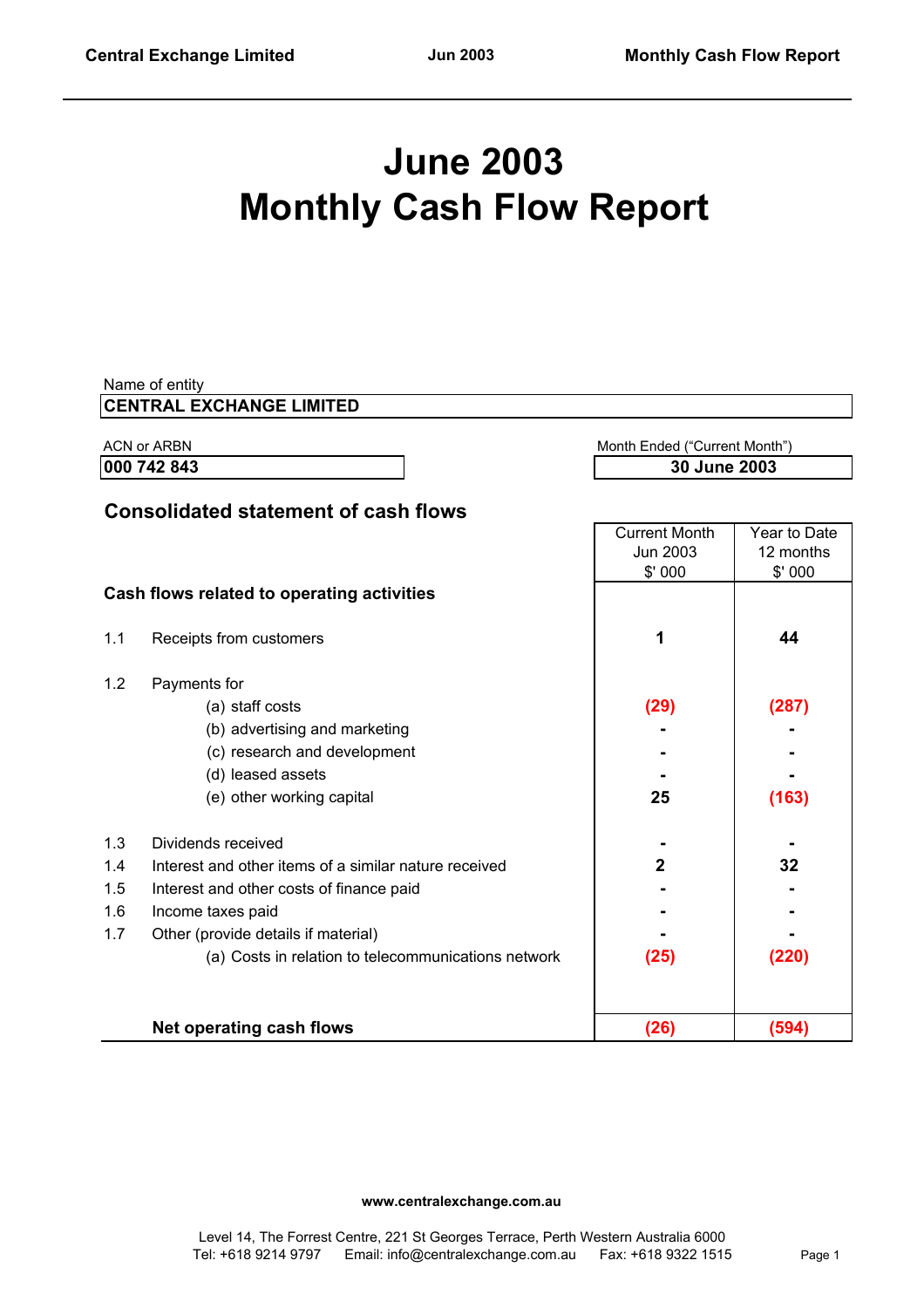# **June 2003 Monthly Cash Flow Report**

| Name of entity<br><b>CENTRAL EXCHANGE LIMITED</b> |                                                       |                      |              |  |
|---------------------------------------------------|-------------------------------------------------------|----------------------|--------------|--|
|                                                   | <b>ACN or ARBN</b><br>Month Ended ("Current Month")   |                      |              |  |
|                                                   | 000 742 843                                           |                      | 30 June 2003 |  |
|                                                   | <b>Consolidated statement of cash flows</b>           |                      |              |  |
|                                                   |                                                       | <b>Current Month</b> | Year to Date |  |
|                                                   |                                                       | Jun 2003             | 12 months    |  |
|                                                   |                                                       | \$'000               | \$'000       |  |
|                                                   | Cash flows related to operating activities            |                      |              |  |
| 1.1                                               | Receipts from customers                               | 1                    | 44           |  |
| 1.2                                               | Payments for                                          |                      |              |  |
|                                                   | (a) staff costs                                       | (29)                 | (287)        |  |
|                                                   | (b) advertising and marketing                         |                      |              |  |
|                                                   | (c) research and development                          |                      |              |  |
|                                                   | (d) leased assets                                     |                      |              |  |
|                                                   | (e) other working capital                             | 25                   | (163)        |  |
| 1.3                                               | Dividends received                                    |                      |              |  |
| 1.4                                               | Interest and other items of a similar nature received | $\overline{2}$       | 32           |  |
| 1.5                                               | Interest and other costs of finance paid              |                      |              |  |
| 1.6                                               | Income taxes paid                                     |                      |              |  |
| 1.7                                               | Other (provide details if material)                   |                      |              |  |
|                                                   | (a) Costs in relation to telecommunications network   | (25)                 | (220)        |  |
|                                                   | <b>Net operating cash flows</b>                       | (26)                 | (594)        |  |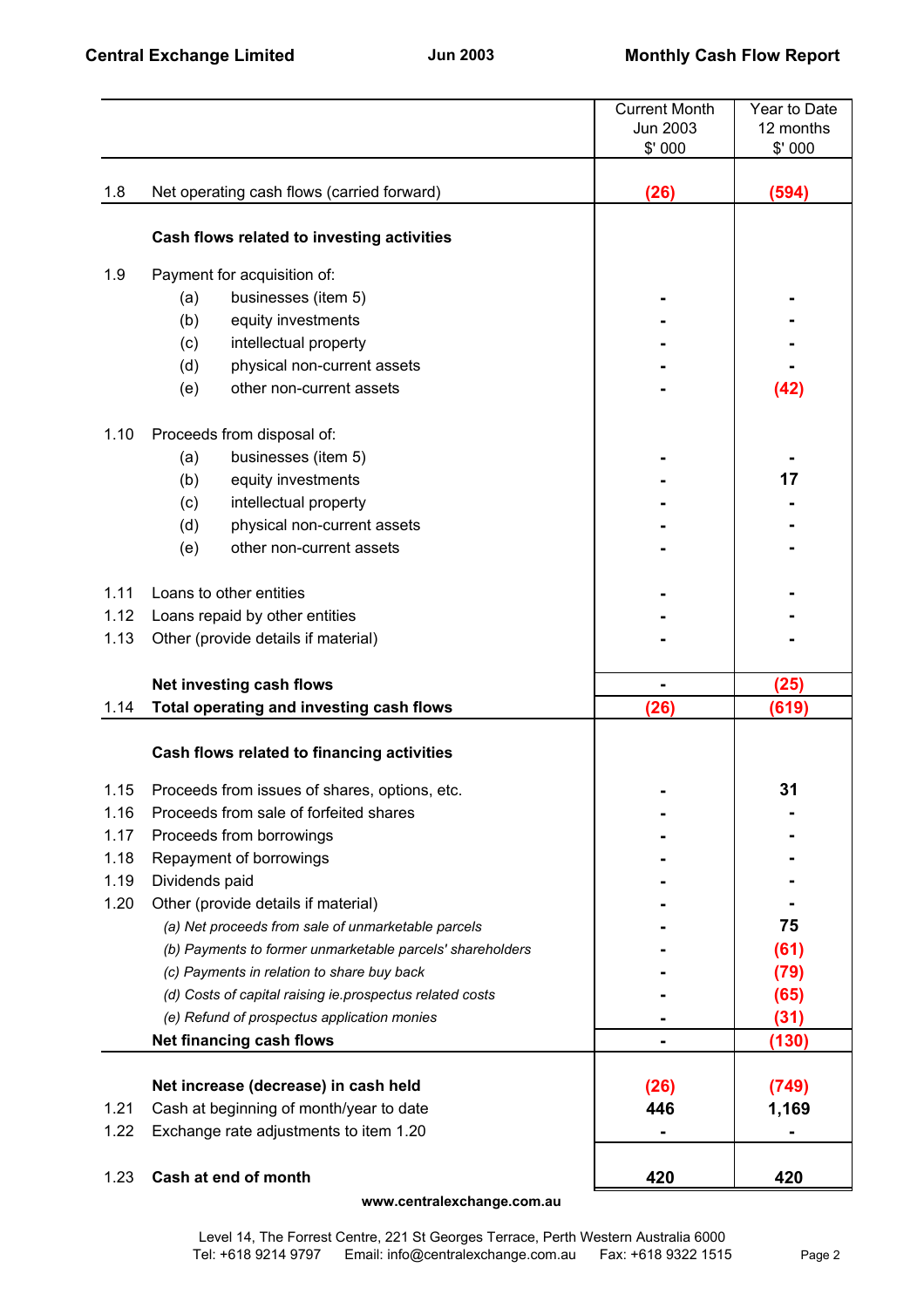|      |                                                           | <b>Current Month</b> | Year to Date |
|------|-----------------------------------------------------------|----------------------|--------------|
|      |                                                           | Jun 2003             | 12 months    |
|      |                                                           | \$'000               | \$'000       |
|      |                                                           |                      |              |
| 1.8  | Net operating cash flows (carried forward)                | (26)                 | (594)        |
|      |                                                           |                      |              |
|      | Cash flows related to investing activities                |                      |              |
|      |                                                           |                      |              |
| 1.9  | Payment for acquisition of:                               |                      |              |
|      | businesses (item 5)<br>(a)                                |                      |              |
|      | equity investments<br>(b)                                 |                      |              |
|      | (c)<br>intellectual property                              |                      |              |
|      | physical non-current assets<br>(d)                        |                      |              |
|      | other non-current assets<br>(e)                           |                      | (42)         |
| 1.10 | Proceeds from disposal of:                                |                      |              |
|      | businesses (item 5)<br>(a)                                |                      |              |
|      | (b)<br>equity investments                                 |                      | 17           |
|      | (c)<br>intellectual property                              |                      |              |
|      | (d)<br>physical non-current assets                        |                      |              |
|      | other non-current assets<br>(e)                           |                      |              |
|      |                                                           |                      |              |
| 1.11 | Loans to other entities                                   |                      |              |
| 1.12 | Loans repaid by other entities                            |                      |              |
| 1.13 | Other (provide details if material)                       |                      |              |
|      |                                                           |                      |              |
|      | Net investing cash flows                                  | $\blacksquare$       | (25)         |
| 1.14 | Total operating and investing cash flows                  | (26)                 | (619)        |
|      |                                                           |                      |              |
|      | Cash flows related to financing activities                |                      |              |
| 1.15 | Proceeds from issues of shares, options, etc.             |                      | 31           |
| 1.16 | Proceeds from sale of forfeited shares                    |                      |              |
| 1.17 | Proceeds from borrowings                                  |                      |              |
| 1.18 | Repayment of borrowings                                   |                      |              |
| 1.19 | Dividends paid                                            |                      |              |
| 1.20 | Other (provide details if material)                       |                      |              |
|      | (a) Net proceeds from sale of unmarketable parcels        |                      | 75           |
|      | (b) Payments to former unmarketable parcels' shareholders |                      | (61)         |
|      | (c) Payments in relation to share buy back                |                      | (79)         |
|      | (d) Costs of capital raising ie prospectus related costs  |                      | (65)         |
|      | (e) Refund of prospectus application monies               |                      | (31)         |
|      | Net financing cash flows                                  |                      | (130)        |
|      |                                                           |                      |              |
|      | Net increase (decrease) in cash held                      | (26)                 | (749)        |
| 1.21 | Cash at beginning of month/year to date                   | 446                  | 1,169        |
| 1.22 | Exchange rate adjustments to item 1.20                    |                      |              |
|      |                                                           |                      |              |
| 1.23 | Cash at end of month                                      | 420                  | 420          |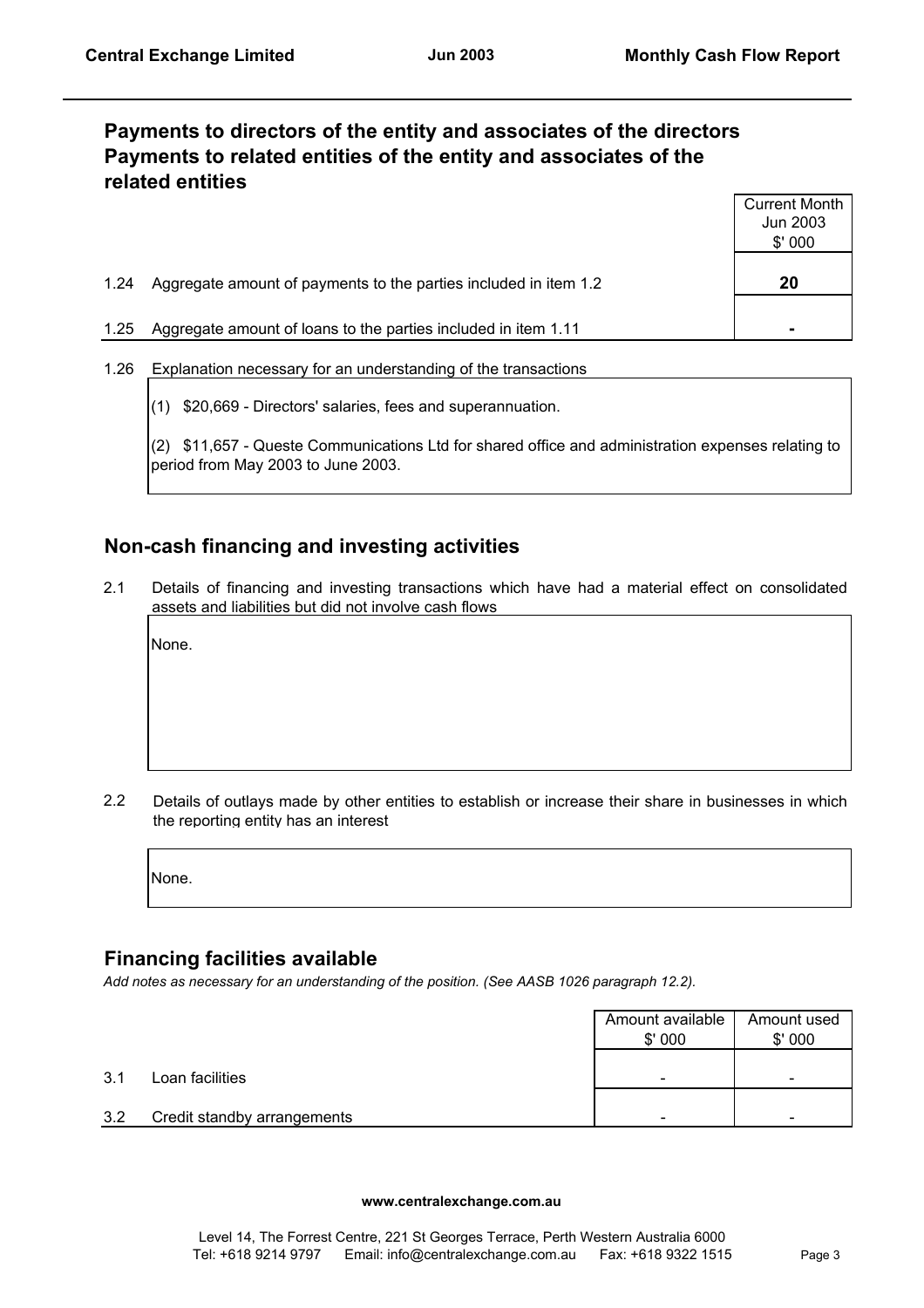# **Payments to directors of the entity and associates of the directors Payments to related entities of the entity and associates of the related entities**

|      |                                                                  | <b>Current Month</b><br>Jun 2003<br>\$'000 |
|------|------------------------------------------------------------------|--------------------------------------------|
| 1.24 | Aggregate amount of payments to the parties included in item 1.2 | 20                                         |
| 1.25 | Aggregate amount of loans to the parties included in item 1.11   | $\blacksquare$                             |

- 1.26 Explanation necessary for an understanding of the transactions
	- (1) \$20,669 Directors' salaries, fees and superannuation.

(2) \$11,657 - Queste Communications Ltd for shared office and administration expenses relating to period from May 2003 to June 2003.

## **Non-cash financing and investing activities**

2.1 Details of financing and investing transactions which have had a material effect on consolidated assets and liabilities but did not involve cash flows

None.

2.2 Details of outlays made by other entities to establish or increase their share in businesses in which the reporting entity has an interest

None.

## **Financing facilities available**

*Add notes as necessary for an understanding of the position. (See AASB 1026 paragraph 12.2).*

|     |                             | Amount available<br>\$'000 | Amount used<br>\$'000    |
|-----|-----------------------------|----------------------------|--------------------------|
| 3.1 | Loan facilities             |                            | $\overline{\phantom{a}}$ |
| 3.2 | Credit standby arrangements |                            | -                        |